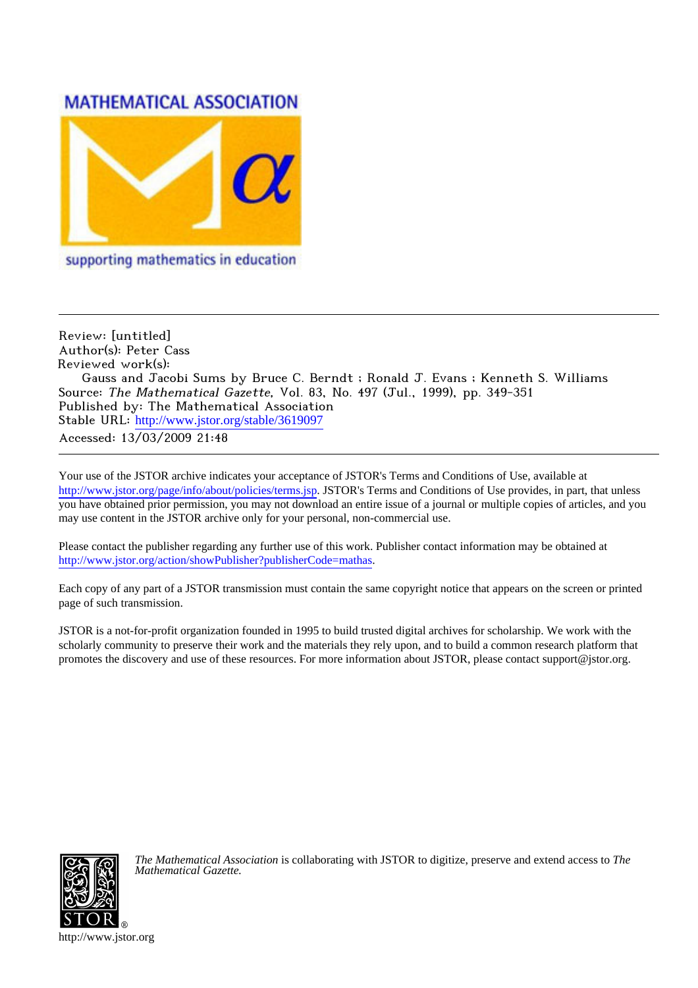## **MATHEMATICAL ASSOCIATION**



supporting mathematics in education

Review: [untitled] Author(s): Peter Cass Reviewed work(s): Gauss and Jacobi Sums by Bruce C. Berndt ; Ronald J. Evans ; Kenneth S. Williams Source: The Mathematical Gazette, Vol. 83, No. 497 (Jul., 1999), pp. 349-351 Published by: The Mathematical Association Stable URL: [http://www.jstor.org/stable/3619097](http://www.jstor.org/stable/3619097?origin=JSTOR-pdf) Accessed: 13/03/2009 21:48

Your use of the JSTOR archive indicates your acceptance of JSTOR's Terms and Conditions of Use, available at <http://www.jstor.org/page/info/about/policies/terms.jsp>. JSTOR's Terms and Conditions of Use provides, in part, that unless you have obtained prior permission, you may not download an entire issue of a journal or multiple copies of articles, and you may use content in the JSTOR archive only for your personal, non-commercial use.

Please contact the publisher regarding any further use of this work. Publisher contact information may be obtained at <http://www.jstor.org/action/showPublisher?publisherCode=mathas>.

Each copy of any part of a JSTOR transmission must contain the same copyright notice that appears on the screen or printed page of such transmission.

JSTOR is a not-for-profit organization founded in 1995 to build trusted digital archives for scholarship. We work with the scholarly community to preserve their work and the materials they rely upon, and to build a common research platform that promotes the discovery and use of these resources. For more information about JSTOR, please contact support@jstor.org.



*The Mathematical Association* is collaborating with JSTOR to digitize, preserve and extend access to *The Mathematical Gazette.*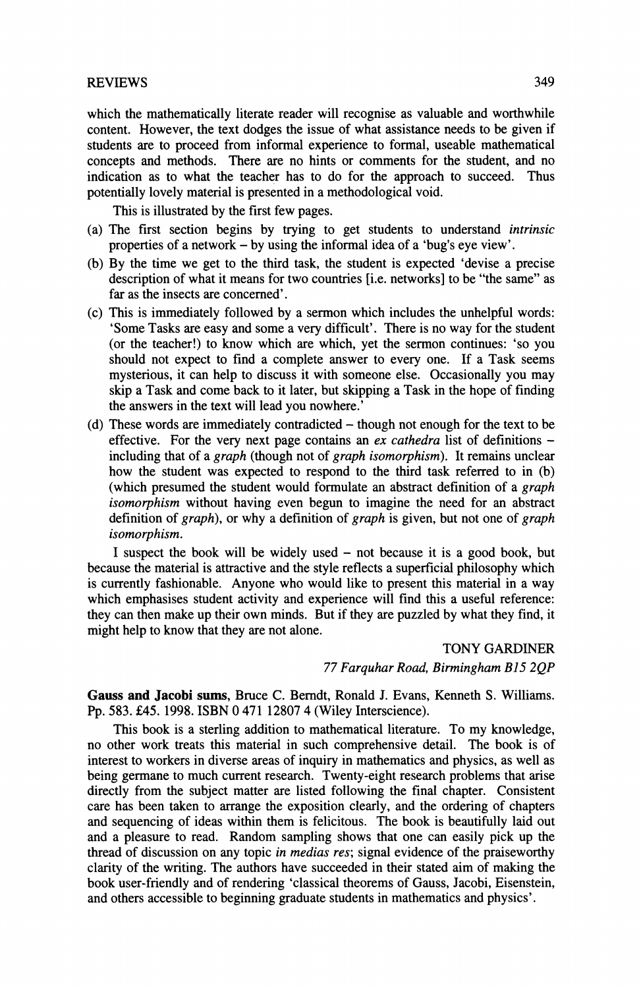## **REVIEWS 349**

**which the mathematically literate reader will recognise as valuable and worthwhile content. However, the text dodges the issue of what assistance needs to be given if students are to proceed from informal experience to formal, useable mathematical concepts and methods. There are no hints or comments for the student, and no indication as to what the teacher has to do for the approach to succeed. Thus potentially lovely material is presented in a methodological void.** 

**This is illustrated by the first few pages.** 

- **(a) The first section begins by trying to get students to understand intrinsic properties of a network - by using the informal idea of a 'bug's eye view'.**
- **(b) By the time we get to the third task, the student is expected 'devise a precise description of what it means for two countries [i.e. networks] to be "the same" as far as the insects are concerned'.**
- **(c) This is immediately followed by a sermon which includes the unhelpful words: 'Some Tasks are easy and some a very difficult'. There is no way for the student (or the teacher!) to know which are which, yet the sermon continues: 'so you should not expect to find a complete answer to every one. If a Task seems mysterious, it can help to discuss it with someone else. Occasionally you may skip a Task and come back to it later, but skipping a Task in the hope of finding the answers in the text will lead you nowhere.'**
- **(d) These words are immediately contradicted though not enough for the text to be effective. For the very next page contains an ex cathedra list of definitions including that of a graph (though not of graph isomorphism). It remains unclear how the student was expected to respond to the third task referred to in (b) (which presumed the student would formulate an abstract definition of a graph isomorphism without having even begun to imagine the need for an abstract definition of graph), or why a definition of graph is given, but not one of graph isomorphism.**

**I suspect the book will be widely used - not because it is a good book, but because the material is attractive and the style reflects a superficial philosophy which is currently fashionable. Anyone who would like to present this material in a way which emphasises student activity and experience will find this a useful reference: they can then make up their own minds. But if they are puzzled by what they find, it might help to know that they are not alone.** 

> **TONY GARDINER 77 Farquhar Road, Birmingham B15 2QP**

**Gauss and Jacobi sums, Bruce C. Bemdt, Ronald J. Evans, Kenneth S. Williams.**  Pp. 583. £45. 1998. ISBN 0 471 12807 4 (Wiley Interscience).

**This book is a sterling addition to mathematical literature. To my knowledge, no other work treats this material in such comprehensive detail. The book is of interest to workers in diverse areas of inquiry in mathematics and physics, as well as being germane to much current research. Twenty-eight research problems that arise directly from the subject matter are listed following the final chapter. Consistent care has been taken to arrange the exposition clearly, and the ordering of chapters and sequencing of ideas within them is felicitous. The book is beautifully laid out and a pleasure to read. Random sampling shows that one can easily pick up the thread of discussion on any topic in medias res; signal evidence of the praiseworthy clarity of the writing. The authors have succeeded in their stated aim of making the book user-friendly and of rendering 'classical theorems of Gauss, Jacobi, Eisenstein, and others accessible to beginning graduate students in mathematics and physics'.**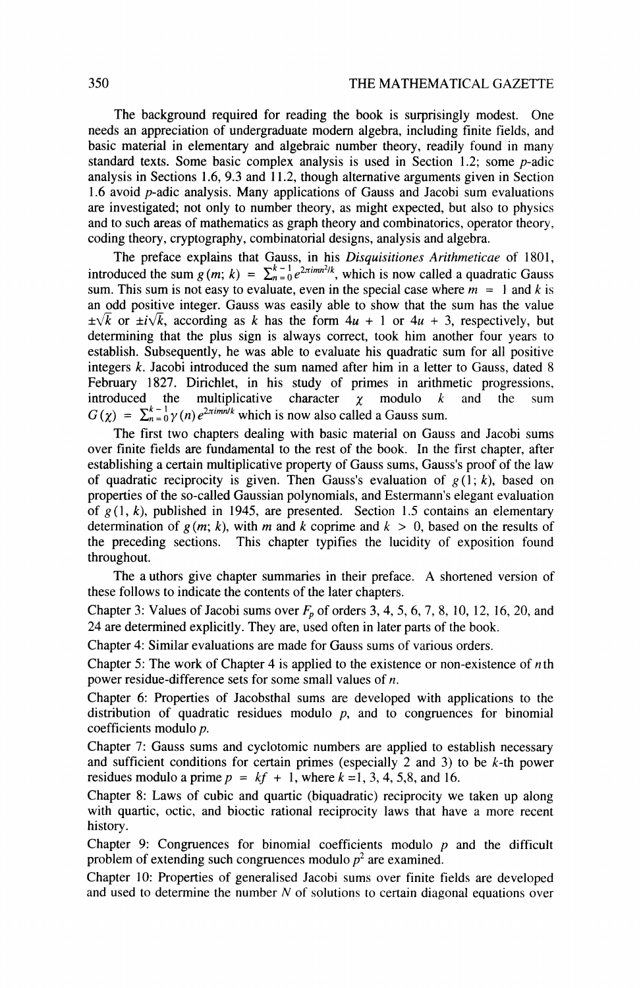**The background required for reading the book is surprisingly modest. One needs an appreciation of undergraduate modem algebra, including finite fields, and basic material in elementary and algebraic number theory, readily found in many standard texts. Some basic complex analysis is used in Section 1.2; some p-adic analysis in Sections 1.6, 9.3 and 11.2, though alternative arguments given in Section 1.6 avoid p-adic analysis. Many applications of Gauss and Jacobi sum evaluations are investigated; not only to number theory, as might expected, but also to physics and to such areas of mathematics as graph theory and combinatorics, operator theory, coding theory, cryptography, combinatorial designs, analysis and algebra.** 

**The preface explains that Gauss, in his Disquisitiones Arithmeticae of 1801, introduced the sum**  $g(m; k) = \sum_{n=0}^{k-1} e^{2\pi imn^2/k}$ **, which is now called a quadratic Gauss** sum. This sum is not easy to evaluate, even in the special case where  $m = 1$  and k is **an odd positive integer. Gauss was easily able to show that the sum has the value**   $\pm\sqrt{k}$  or  $\pm i\sqrt{k}$ , according as k has the form  $4u + 1$  or  $4u + 3$ , respectively, but **determining that the plus sign is always correct, took him another four years to establish. Subsequently, he was able to evaluate his quadratic sum for all positive integers k. Jacobi introduced the sum named after him in a letter to Gauss, dated 8 February 1827. Dirichlet, in his study of primes in arithmetic progressions, introduced the multiplicative character**  $\gamma$  **modulo k and the sum introduced multiplicative character**  $\chi$  **modulo k and the sum**  $G(\chi) = \sum_{n=0}^{k-1} \gamma(n) e^{2\pi i m n/k}$  which is now also called a Gauss sum.

**The first two chapters dealing with basic material on Gauss and Jacobi sums over finite fields are fundamental to the rest of the book. In the first chapter, after establishing a certain multiplicative property of Gauss sums, Gauss's proof of the law**  of quadratic reciprocity is given. Then Gauss's evaluation of  $g(1; k)$ , based on **properties of the so-called Gaussian polynomials, and Estermann's elegant evaluation of g (1, k), published in 1945, are presented. Section 1.5 contains an elementary**  determination of  $g(m; k)$ , with m and k coprime and  $k > 0$ , based on the results of **the preceding sections. This chapter typifies the lucidity of exposition found throughout.** 

**The a uthors give chapter summaries in their preface. A shortened version of these follows to indicate the contents of the later chapters.** 

Chapter 3: Values of Jacobi sums over  $F_p$  of orders 3, 4, 5, 6, 7, 8, 10, 12, 16, 20, and **24 are determined explicitly. They are, used often in later parts of the book.** 

**Chapter 4: Similar evaluations are made for Gauss sums of various orders.** 

**Chapter 5: The work of Chapter 4 is applied to the existence or non-existence of nth power residue-difference sets for some small values of n.** 

**Chapter 6: Properties of Jacobsthal sums are developed with applications to the**  distribution of quadratic residues modulo  $p$ , and to congruences for binomial **coefficients modulo p.** 

**Chapter 7: Gauss sums and cyclotomic numbers are applied to establish necessary and sufficient conditions for certain primes (especially 2 and 3) to be k-th power**  residues modulo a prime  $p = kf + 1$ , where  $k = 1, 3, 4, 5, 8$ , and 16.

**Chapter 8: Laws of cubic and quartic (biquadratic) reciprocity we taken up along with quartic, octic, and bioctic rational reciprocity laws that have a more recent history.** 

**Chapter 9: Congruences for binomial coefficients modulo p and the difficult**  problem of extending such congruences modulo  $p<sup>2</sup>$  are examined.

**Chapter 10: Properties of generalised Jacobi sums over finite fields are developed and used to determine the number N of solutions to certain diagonal equations over**